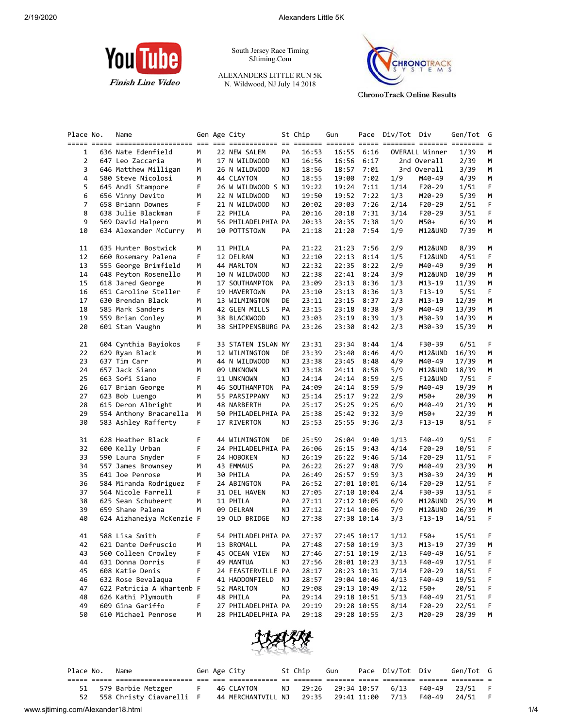

South Jersey Race Timing SJtiming.Com

ALEXANDERS LITTLE RUN 5K N. Wildwood, NJ July 14 2018



**ChronoTrack Online Results** 

| Place No. | Name                                         |    | Gen Age City       |    | St Chip | Gun            |             | Pace Div/Tot Div |                    | Gen/Tot        | G       |
|-----------|----------------------------------------------|----|--------------------|----|---------|----------------|-------------|------------------|--------------------|----------------|---------|
|           |                                              |    |                    |    |         |                |             |                  |                    |                |         |
| 1         | 636 Nate Edenfield                           | М  | 22 NEW SALEM       | PA | 16:53   | 16:55          | 6:16        |                  | OVERALL Winner     | 1/39           | M       |
| 2         | 647 Leo Zaccaria                             | м  | 17 N WILDWOOD      | ΝJ | 16:56   | 16:56          | 6:17        |                  | 2nd Overall        | 2/39           | М       |
| 3         | 646 Matthew Milligan                         | М  | 26 N WILDWOOD      | ΝJ | 18:56   | 18:57          | 7:01        |                  | 3rd Overall        | 3/39           | М       |
| 4         | 580 Steve Nicolosi                           | М  | 44 CLAYTON         | ΝJ | 18:55   | 19:00          | 7:02        | 1/9              | M40-49             | 4/39           | М       |
| 5         | 645 Andi Stampore                            | F  | 26 W WILDWOOD S NJ |    | 19:22   | 19:24          | 7:11        | 1/14             | F20-29             | 1/51           | F       |
| 6         | 656 Vinny Devito                             | М  | 22 N WILDWOOD      | ΝJ | 19:50   | 19:52          | 7:22        | 1/3              | M20-29             | 5/39           | М       |
| 7         | 658 Briann Downes                            | F  | 21 N WILDWOOD      | ΝJ | 20:02   | 20:03          | 7:26        | 2/14             | F20-29             | 2/51           | F       |
| 8         | 638 Julie Blackman                           | F  | 22 PHILA           | PA | 20:16   | 20:18          | 7:31        | 3/14             | F20-29             | 3/51           | F       |
| 9         | 569 David Halpern                            | М  | 56 PHILADELPHIA PA |    | 20:33   | 20:35          | 7:38        | 1/9              | M50+               | 6/39           | М       |
| 10        | 634 Alexander McCurry                        | М  | 10 POTTSTOWN       | PA | 21:18   | 21:20          | 7:54        | 1/9              | M12&UND            | 7/39           | М       |
| 11        | 635 Hunter Bostwick                          | м  | 11 PHILA           | PA | 21:22   | 21:23          | 7:56        | 2/9              | M12&UND            | 8/39           | М       |
| 12        | 660 Rosemary Palena                          | F  | 12 DELRAN          | ΝJ | 22:10   | 22:13          | 8:14        | 1/5              | <b>F12&amp;UND</b> | 4/51           | F       |
| 13        | 555 George Brimfield                         | м  | 44 MARLTON         | ΝJ | 22:32   | 22:35          | 8:22        | 2/9              | M40-49             | 9/39           | M       |
| 14        | 648 Peyton Rosenello                         | М  | 10 N WILDWOOD      | ΝJ | 22:38   | 22:41          | 8:24        | 3/9              | M12&UND            | 10/39          | М       |
| 15        | 618 Jared George                             | М  | 17 SOUTHAMPTON     | PA | 23:09   | 23:13          | 8:36        | 1/3              | M13-19             | 11/39          | М       |
| 16        | 651 Caroline Steller                         | F  | 19 HAVERTOWN       | PA | 23:10   | 23:13          | 8:36        | 1/3              | $F13-19$           | 5/51           | F.      |
| 17        | 630 Brendan Black                            | М  | 13 WILMINGTON      | DE | 23:11   | 23:15          | 8:37        | 2/3              | M13-19             | 12/39          | М       |
| 18        | 585 Mark Sanders                             | м  | 42 GLEN MILLS      | PA | 23:15   | 23:18          | 8:38        | 3/9              | M40-49             | 13/39          | M       |
| 19        | 559 Brian Conley                             | м  | 38 BLACKWOOD       | ΝJ | 23:03   | 23:19          | 8:39        | 1/3              | M30-39             | 14/39          | М       |
| 20        | 601 Stan Vaughn                              | М  | 38 SHIPPENSBURG PA |    | 23:26   | 23:30          | 8:42        | 2/3              | M30-39             | 15/39          | М       |
| 21        | 604 Cynthia Bayiokos                         | F  | 33 STATEN ISLAN NY |    | 23:31   | 23:34          | 8:44        | 1/4              | F30-39             | 6/51           | F.      |
| 22        | 629 Ryan Black                               | М  | 12 WILMINGTON      | DE | 23:39   | 23:40          | 8:46        | 4/9              | M12&UND            | 16/39          | M       |
| 23        | 637 Tim Carr                                 | м  | 44 N WILDWOOD      | ΝJ | 23:38   | 23:45          | 8:48        | 4/9              | M40-49             | 17/39          | M       |
| 24        | 657 Jack Siano                               | М  | 09 UNKNOWN         | ΝJ | 23:18   | 24:11          | 8:58        | 5/9              | M12&UND            | 18/39          | M       |
| 25        | 663 Sofi Siano                               | F  | 11 UNKNOWN         | ΝJ | 24:14   | 24:14          | 8:59        | 2/5              | <b>F12&amp;UND</b> | 7/51           | F       |
| 26        | 617 Brian George                             | М  | 46 SOUTHAMPTON     | PA | 24:09   | 24:14          | 8:59        | 5/9              | M40-49             | 19/39          | М       |
| 27        | 623 Bob Luengo                               | м  | 55 PARSIPPANY      | ΝJ | 25:14   | 25:17          | 9:22        | 2/9              | M50+               | 20/39          | M       |
| 28        |                                              | М  | 48 NARBERTH        | PA | 25:17   |                | 9:25        | 6/9              | M40-49             |                |         |
| 29        | 615 Deron Albright<br>554 Anthony Bracarella | М  | 50 PHILADELPHIA PA |    | 25:38   | 25:25<br>25:42 | 9:32        | 3/9              |                    | 21/39<br>22/39 | M       |
| 30        | 583 Ashley Rafferty                          | F. | 17 RIVERTON        | ΝJ | 25:53   | 25:55          | 9:36        | 2/3              | M50+<br>F13-19     | 8/51           | М<br>F. |
| 31        | 628 Heather Black                            | F  | 44 WILMINGTON      | DE | 25:59   |                | 9:40        | 1/13             | F40-49             |                | F       |
|           |                                              | F  |                    |    |         | 26:04          |             | 4/14             |                    | 9/51           |         |
| 32        | 600 Kelly Urban                              |    | 24 PHILADELPHIA PA |    | 26:06   | 26:15          | 9:43        |                  | F20-29             | 10/51          | F       |
| 33        | 590 Laura Snyder                             | F  | 24 HOBOKEN         | ΝJ | 26:19   | 26:22          | 9:46        | 5/14             | $F20-29$           | 11/51          | F.      |
| 34        | 557 James Brownsey                           | М  | 43 EMMAUS          | PA | 26:22   | 26:27          | 9:48        | 7/9              | M40-49             | 23/39          | M       |
| 35        | 641 Joe Penrose                              | М  | 30 PHILA           | PA | 26:49   |                | 26:57 9:59  | 3/3              | M30-39             | 24/39          | M       |
| 36        | 584 Miranda Rodriguez                        | F  | 24 ABINGTON        | PA | 26:52   |                | 27:01 10:01 | 6/14             | $F20-29$           | 12/51          | F       |
| 37        | 564 Nicole Farrell                           | F. | 31 DEL HAVEN       | ΝJ | 27:05   |                | 27:10 10:04 | 2/4              | F30-39             | 13/51          | F       |
| 38        | 625 Sean Schubeert                           | м  | 11 PHILA           | PA | 27:11   |                | 27:12 10:05 | 6/9              | M12&UND            | 25/39          | M       |
| 39        | 659 Shane Palena                             | М  | 09 DELRAN          | ΝJ | 27:12   |                | 27:14 10:06 | 7/9              | M12&UND            | 26/39          | M       |
| 40        | 624 Aizhaneiya McKenzie F                    |    | 19 OLD BRIDGE      | ΝJ | 27:38   |                | 27:38 10:14 | 3/3              | F13-19             | 14/51          | F       |
|           |                                              |    | 54 PHILADELPHIA PA |    | 27:37   |                | 27:45 10:17 | 1/12             | F50+               | 15/51          | F       |
| 41        | 588 Lisa Smith                               | F  |                    |    |         |                |             |                  |                    |                |         |
| 42        | 621 Dante Defruscio                          | M  | 13 BROMALL         | PA | 27:48   | 27:50 10:19    |             | 3/3              | M13-19             | 27/39          |         |
| 43        | 560 Colleen Crowley                          | F  | 45 OCEAN VIEW      | ΝJ | 27:46   |                | 27:51 10:19 | 2/13             | F40-49             | 16/51          | F       |
| 44        | 631 Donna Dorris                             | F  | 49 MANTUA          | ΝJ | 27:56   |                | 28:01 10:23 | 3/13             | F40-49             | 17/51          | F       |
| 45        | 608 Katie Denis                              | F  | 24 FEASTERVILLE PA |    | 28:17   |                | 28:23 10:31 | 7/14             | F20-29             | 18/51          | F       |
| 46        | 632 Rose Bevalaqua                           | F  | 41 HADDONFIELD     | ΝJ | 28:57   |                | 29:04 10:46 | 4/13             | F40-49             | 19/51          | F       |
| 47        | 622 Patricia A Whartenb F                    |    | 52 MARLTON         | ΝJ | 29:08   |                | 29:13 10:49 | 2/12             | F50+               | 20/51          | F       |
| 48        | 626 Kathi Plymouth                           | F  | 48 PHILA           | PA | 29:14   |                | 29:18 10:51 | 5/13             | F40-49             | 21/51          | M<br>F  |
| 49        | 609 Gina Gariffo                             | F  | 27 PHILADELPHIA PA |    | 29:19   |                | 29:28 10:55 | 8/14             | $F20-29$           | 22/51          | F.      |



|  | Place No. Name |                             |  | Gen Age City                                           | St Chip | Gun | Pace Div/Tot Div                       | Gen/Tot G |  |
|--|----------------|-----------------------------|--|--------------------------------------------------------|---------|-----|----------------------------------------|-----------|--|
|  |                |                             |  |                                                        |         |     |                                        |           |  |
|  |                | 51 579 Barbie Metzger       |  | 46 CLAYTON                                             |         |     | NJ 29:26 29:34 10:57 6/13 F40-49 23/51 |           |  |
|  |                | 52 558 Christy Ciavarelli F |  | 44 MERCHANTVILL NJ 29:35 29:41 11:00 7/13 F40-49 24/51 |         |     |                                        |           |  |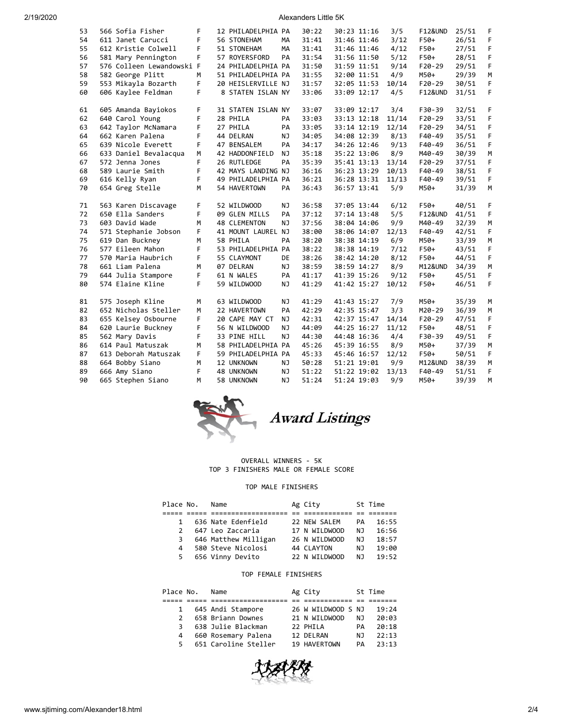2/19/2020 Alexanders Little 5K

| 53 | 566 Sofia Fisher          | F  | 12 PHILADELPHIA PA |           | 30:22 | 30:23 11:16 |             | 3/5   | <b>F12&amp;UND</b> | 25/51 | F           |
|----|---------------------------|----|--------------------|-----------|-------|-------------|-------------|-------|--------------------|-------|-------------|
| 54 | 611 Janet Carucci         | F. | 56 STONEHAM        | МA        | 31:41 | 31:46 11:46 |             | 3/12  | F50+               | 26/51 | E           |
| 55 | 612 Kristie Colwell       | F  | 51 STONEHAM        | MA        | 31:41 | 31:46 11:46 |             | 4/12  | F50+               | 27/51 | $\mathsf F$ |
| 56 | 581 Mary Pennington       | F  | 57 ROYERSFORD      | PA        | 31:54 | 31:56 11:50 |             | 5/12  | F50+               | 28/51 | F           |
| 57 | 576 Colleen Lewandowski F |    | 24 PHILADELPHIA PA |           | 31:50 | 31:59 11:51 |             | 9/14  | $F20-29$           | 29/51 | F           |
| 58 | 582 George Plitt          | M  | 51 PHILADELPHIA PA |           | 31:55 | 32:00 11:51 |             | 4/9   | M50+               | 29/39 | M           |
| 59 | 553 Mikayla Bozarth       | F  | 20 HEISLERVILLE NJ |           | 31:57 | 32:05 11:53 |             | 10/14 | $F20-29$           | 30/51 | F           |
| 60 | 606 Kaylee Feldman        | F  | 8 STATEN ISLAN NY  |           | 33:06 | 33:09 12:17 |             | 4/5   | <b>F12&amp;UND</b> | 31/51 | F           |
| 61 | 605 Amanda Bayiokos       | F  | 31 STATEN ISLAN NY |           | 33:07 | 33:09 12:17 |             | 3/4   | F30-39             | 32/51 | F           |
| 62 | 640 Carol Young           | F  | 28 PHILA           | PA        | 33:03 | 33:13 12:18 |             | 11/14 | $F20-29$           | 33/51 | F           |
| 63 | 642 Taylor McNamara       | F  | 27 PHILA           | PA        | 33:05 | 33:14 12:19 |             | 12/14 | $F20-29$           | 34/51 | F           |
| 64 | 662 Karen Palena          | F  | 44 DELRAN          | NJ        | 34:05 | 34:08 12:39 |             | 8/13  | F40-49             | 35/51 | F           |
| 65 | 639 Nicole Everett        | F  | 47 BENSALEM        | PA        | 34:17 | 34:26 12:46 |             | 9/13  | F40-49             | 36/51 | $\mathsf F$ |
| 66 | 633 Daniel Bevalacqua     | М  | 42 HADDONFIELD     | NJ        | 35:18 | 35:22 13:06 |             | 8/9   | M40-49             | 30/39 | M           |
| 67 | 572 Jenna Jones           | F  | 26 RUTLEDGE        | PA        | 35:39 | 35:41 13:13 |             | 13/14 | $F20-29$           | 37/51 | F           |
| 68 | 589 Laurie Smith          | F  | 42 MAYS LANDING NJ |           | 36:16 | 36:23 13:29 |             | 10/13 | F40-49             | 38/51 | F           |
| 69 | 616 Kelly Ryan            | F  | 49 PHILADELPHIA PA |           | 36:21 |             | 36:28 13:31 | 11/13 | F40-49             | 39/51 | E           |
| 70 | 654 Greg Stelle           | M  | 54 HAVERTOWN       | PA        | 36:43 | 36:57 13:41 |             | 5/9   | M50+               | 31/39 | M           |
| 71 | 563 Karen Discavage       | F  | 52 WILDWOOD        | NJ        | 36:58 | 37:05 13:44 |             | 6/12  | F50+               | 40/51 | F           |
| 72 | 650 Ella Sanders          | F  | 09 GLEN MILLS      | PA        | 37:12 | 37:14 13:48 |             | 5/5   | F12&UND            | 41/51 | F           |
| 73 | 603 David Wade            | M  | 48 CLEMENTON       | <b>NJ</b> | 37:56 | 38:04 14:06 |             | 9/9   | M40-49             | 32/39 | M           |
| 74 | 571 Stephanie Jobson      | F  | 41 MOUNT LAUREL NJ |           | 38:00 | 38:06 14:07 |             | 12/13 | F40-49             | 42/51 | F           |
| 75 | 619 Dan Buckney           | М  | 58 PHILA           | PA        | 38:20 | 38:38 14:19 |             | 6/9   | M50+               | 33/39 | M           |
| 76 | 577 Eileen Mahon          | F  | 53 PHILADELPHIA PA |           | 38:22 | 38:38 14:19 |             | 7/12  | F50+               | 43/51 | F           |
| 77 | 570 Maria Haubrich        | F  | 55 CLAYMONT        | DE        | 38:26 | 38:42 14:20 |             | 8/12  | F50+               | 44/51 | F           |
| 78 | 661 Liam Palena           | M  | 07 DELRAN          | NJ        | 38:59 | 38:59 14:27 |             | 8/9   | M12&UND            | 34/39 | M           |
| 79 | 644 Julia Stampore        | F  | 61 N WALES         | PA        | 41:17 | 41:39 15:26 |             | 9/12  | F50+               | 45/51 | F           |
| 80 | 574 Elaine Kline          | F  | 59 WILDWOOD        | <b>NJ</b> | 41:29 | 41:42 15:27 |             | 10/12 | F50+               | 46/51 | F           |
| 81 | 575 Joseph Kline          | М  | 63 WILDWOOD        | NJ        | 41:29 | 41:43 15:27 |             | 7/9   | M50+               | 35/39 | М           |
| 82 | 652 Nicholas Steller      | M  | 22 HAVERTOWN       | PA        | 42:29 | 42:35 15:47 |             | 3/3   | M20-29             | 36/39 | M           |
| 83 | 655 Kelsey Osbourne       | F  | 20 CAPE MAY CT     | NJ        | 42:31 | 42:37 15:47 |             | 14/14 | $F20-29$           | 47/51 | F           |
| 84 | 620 Laurie Buckney        | F  | 56 N WILDWOOD      | NJ        | 44:09 | 44:25 16:27 |             | 11/12 | F50+               | 48/51 | $\mathsf F$ |
| 85 | 562 Mary Davis            | F  | 33 PINE HILL       | <b>NJ</b> | 44:30 | 44:48 16:36 |             | 4/4   | F30-39             | 49/51 | F           |
| 86 | 614 Paul Matuszak         | M  | 58 PHILADELPHIA PA |           | 45:26 | 45:39 16:55 |             | 8/9   | M50+               | 37/39 | M           |
| 87 | 613 Deborah Matuszak      | F  | 59 PHILADELPHIA PA |           | 45:33 | 45:46 16:57 |             | 12/12 | F50+               | 50/51 | F           |
| 88 | 664 Bobby Siano           | M  | 12 UNKNOWN         | <b>NJ</b> | 50:28 | 51:21 19:01 |             | 9/9   | M12&UND            | 38/39 | M           |
| 89 | 666 Amy Siano             | F  | 48 UNKNOWN         | NJ        | 51:22 | 51:22 19:02 |             | 13/13 | F40-49             | 51/51 | F.          |
| 90 | 665 Stephen Siano         | M  | 58 UNKNOWN         | <b>NJ</b> | 51:24 | 51:24 19:03 |             | 9/9   | M50+               | 39/39 | M           |
|    |                           |    |                    |           |       |             |             |       |                    |       |             |



Award Listings

#### OVERALL WINNERS - 5K TOP 3 FINISHERS MALE OR FEMALE SCORE

## TOP MALE FINISHERS

| Place No.     | Name                 |  | Ag City       |     | St Time |  |
|---------------|----------------------|--|---------------|-----|---------|--|
|               |                      |  |               |     |         |  |
| 1             | 636 Nate Edenfield   |  | 22 NEW SALEM  | PА  | 16:55   |  |
| $\mathcal{P}$ | 647 Leo Zaccaria     |  | 17 N WILDWOOD | N J | 16:56   |  |
| 3.            | 646 Matthew Milligan |  | 26 N WILDWOOD | NJ. | 18:57   |  |
| 4             | 580 Steve Nicolosi   |  | 44 CLAYTON    | ΝJ  | 19:00   |  |
| 5.            | 656 Vinny Devito     |  | 22 N WILDWOOD | N J | 19:52   |  |

## TOP FEMALE FINISHERS

| Place No.     | Name                 | Ag City            |     | St Time |
|---------------|----------------------|--------------------|-----|---------|
|               |                      |                    |     |         |
| $\mathbf{1}$  | 645 Andi Stampore    | 26 W WILDWOOD S NJ |     | 19:24   |
| $\mathcal{P}$ | 658 Briann Downes    | 21 N WILDWOOD      | NJ  | 20:03   |
| 3             | 638 Julie Blackman   | 22 PHILA           | PA  | 20:18   |
| 4             | 660 Rosemary Palena  | 12 DELRAN          | N J | 22:13   |
| 5.            | 651 Caroline Steller | 19 HAVERTOWN       | PА  | 23:13   |

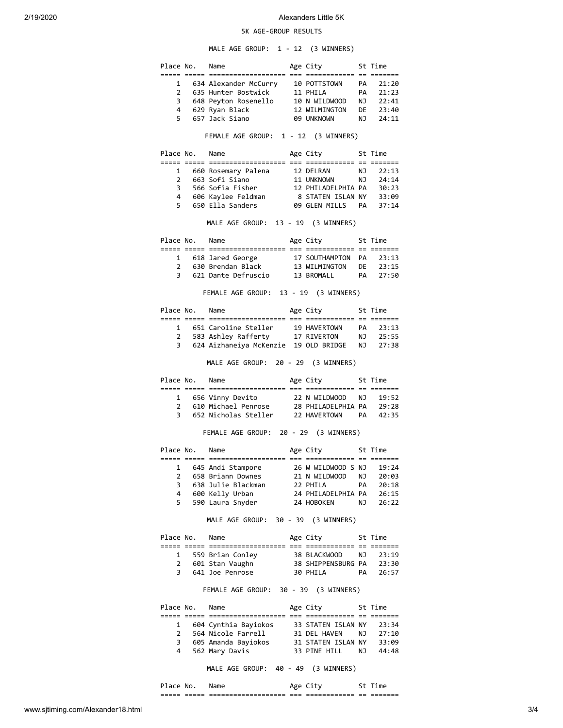#### 2/19/2020 Alexanders Little 5K

## 5K AGE-GROUP RESULTS

MALE AGE GROUP: 1 - 12 (3 WINNERS)

|              |                | Place No. Name                                                                                                                                                                                                               | Age City 5t Time               |       |
|--------------|----------------|------------------------------------------------------------------------------------------------------------------------------------------------------------------------------------------------------------------------------|--------------------------------|-------|
|              |                |                                                                                                                                                                                                                              |                                |       |
|              |                |                                                                                                                                                                                                                              |                                |       |
|              |                |                                                                                                                                                                                                                              |                                |       |
|              |                |                                                                                                                                                                                                                              |                                |       |
|              |                | 1 634 Alexander McCurry 10 POTTSTOWN PA 21:20<br>2 635 Hunter Bostwick 11 PHILA PA 21:23<br>3 648 Peyton Rosenello 10 N WILDWOOD NJ 22:41<br>4 629 Ryan Black 12 WILMINGTON DE 23:40<br>5 657 Jack Siano 09 UNKNOWN NJ 24:11 |                                |       |
|              |                | FEMALE AGE GROUP: 1 - 12 (3 WINNERS)                                                                                                                                                                                         |                                |       |
|              |                | Place No. Name                                                                                                                                                                                                               | Age City               St Time |       |
|              |                |                                                                                                                                                                                                                              |                                |       |
|              |                |                                                                                                                                                                                                                              |                                |       |
|              |                |                                                                                                                                                                                                                              |                                |       |
|              |                |                                                                                                                                                                                                                              |                                |       |
|              |                | 1 660 Rosemary Palena 12 DELRAN NJ 22:13<br>2 663 Sofi Siano 11 UNKNOWN NJ 24:14<br>3 566 Sofia Fisher 12 PHILADELPHIA PA 30:23<br>4 606 Kaylee Feldman 8 STATEN ISLAN NY 33:09<br>5 650 Ella Sanders 09 GLEN MILLS PA 37:14 |                                |       |
|              |                | MALE AGE GROUP: 13 - 19 (3 WINNERS)                                                                                                                                                                                          |                                |       |
|              |                | Place No. Name                                                                                                                                                                                                               | Age City 5t Time               |       |
|              |                | 1 618 Jared George 17 SOUTHAMPTON PA 23:13                                                                                                                                                                                   |                                |       |
|              |                | 2 630 Brendan Black 13 WILMINGTON DE 23:15                                                                                                                                                                                   |                                |       |
|              |                | 3 621 Dante Defruscio 13 BROMALL PA 27:50                                                                                                                                                                                    |                                |       |
|              |                | FEMALE AGE GROUP: 13 - 19 (3 WINNERS)                                                                                                                                                                                        |                                |       |
|              |                | Place No. Name                                                                                                                                                                                                               | Age City 5t Time               |       |
|              |                |                                                                                                                                                                                                                              |                                |       |
|              |                | 1 651 Caroline Steller 19 HAVERTOWN PA 23:13                                                                                                                                                                                 |                                |       |
|              |                |                                                                                                                                                                                                                              |                                |       |
|              |                | 2 583 Ashley Rafferty 17 RIVERTON NJ 25:55<br>3 624 Aizhaneiya McKenzie 19 OLD BRIDGE NJ 27:38                                                                                                                               |                                |       |
|              |                | MALE AGE GROUP: 20 - 29 (3 WINNERS)                                                                                                                                                                                          |                                |       |
|              |                | Place No. Name                                                                                                                                                                                                               | Age City 5t Time               |       |
|              |                |                                                                                                                                                                                                                              |                                |       |
|              |                | 1 656 Vinny Devito 22 N WILDWOOD NJ 19:52<br>2 610 Michael Penrose 28 PHILADELPHIA PA 29:28                                                                                                                                  |                                |       |
|              |                |                                                                                                                                                                                                                              |                                |       |
|              |                | 3 652 Nicholas Steller 22 HAVERTOWN PA 42:35                                                                                                                                                                                 |                                |       |
|              |                | FEMALE AGE GROUP: 20 - 29 (3 WINNERS)                                                                                                                                                                                        |                                |       |
|              |                | Place No. Name                                                                                                                                                                                                               | Age City 5t Time               |       |
|              |                |                                                                                                                                                                                                                              |                                |       |
|              |                | 1 645 Andi Stampore 26 W WILDWOOD S NJ 19:24                                                                                                                                                                                 |                                |       |
| 2            |                | 658 Briann Downes                                                                                                                                                                                                            | 21 N WILDWOOD NJ               | 20:03 |
| 3            |                |                                                                                                                                                                                                                              |                                |       |
|              |                | 658 Briann<br>110 Blackman<br>110 Urban<br>4 600 Kelly Urban                                                                                                                                                                 |                                |       |
|              |                | 5 590 Laura Snyder 24 HOBOKEN NJ 26:22<br>MALE AGE GROUP: 30 - 39 (3 WINNERS)                                                                                                                                                |                                |       |
|              | Place No. Name |                                                                                                                                                                                                                              | Age City 5t Time               |       |
|              |                |                                                                                                                                                                                                                              |                                |       |
|              |                |                                                                                                                                                                                                                              |                                |       |
|              |                |                                                                                                                                                                                                                              |                                |       |
|              |                | 1 559 Brian Conley 38 BLACKWOOD NJ 23:19<br>2 601 Stan Vaughn 38 SHIPPENSBURG PA 23:30<br>3 641 Joe Penrose 30 PHILA PA 26:57                                                                                                |                                |       |
|              |                | FEMALE AGE GROUP: 30 - 39 (3 WINNERS)                                                                                                                                                                                        |                                |       |
|              | Place No. Name |                                                                                                                                                                                                                              | Age City 5t Time               |       |
|              |                |                                                                                                                                                                                                                              |                                |       |
|              |                | 1 604 Cynthia Bayiokos 33 STATEN ISLAN NY 23:34                                                                                                                                                                              |                                |       |
| $\mathbf{2}$ |                | 564 Nicole Farrell                                                                                                                                                                                                           | 31 DEL HAVEN NJ 27:10          |       |
|              |                | 3 605 Amanda Bayiokos 31 STATEN ISLAN NY 33:09<br>4 562 Mary Davis                                                                                                                                                           | 33 PINE HILL NJ 44:48          |       |

 Place No. Name Age City St Time ===== ===== =================== === ============ == =======